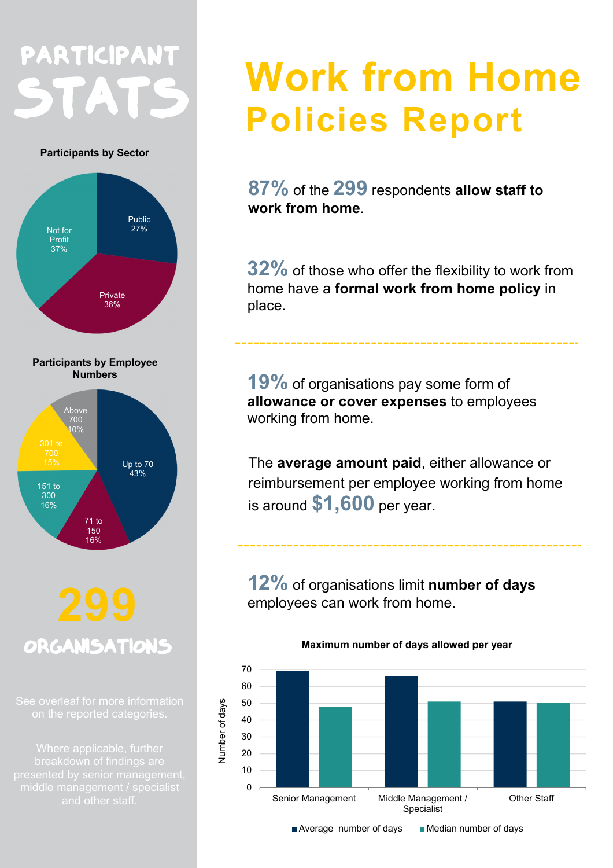## PARTICIPANT STATS

**Participants by Sector**



# **ORGANISATIONS**

16%

## **Work from Home Policies Report**

**87%** of the **299** respondents **allow staff to work from home**.

**32%** of those who offer the flexibility to work from home have a **formal work from home policy** in place.

**19%** of organisations pay some form of **allowance or cover expenses** to employees working from home.

The **average amount paid**, either allowance or reimbursement per employee working from home is around **\$1,600** per year.

**12%** of organisations limit **number of days** employees can work from home.